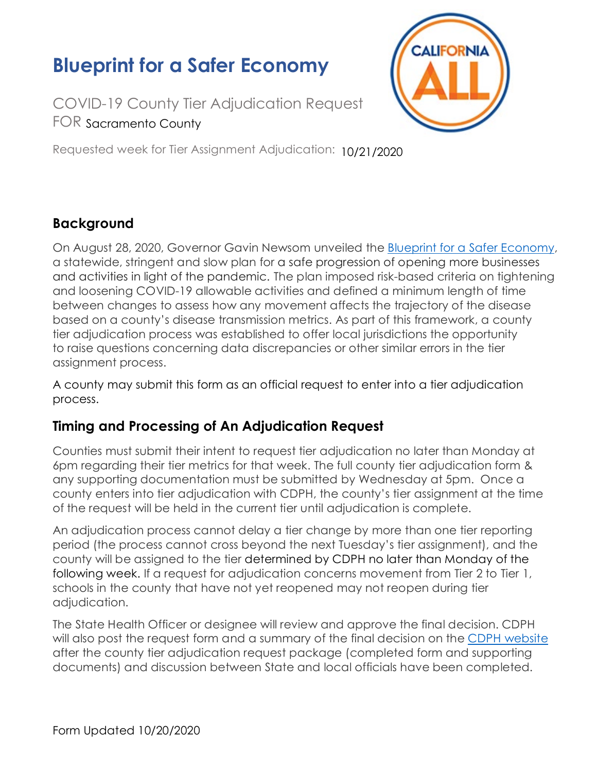# **Blueprint for a Safer Economy**

COVID-19 County Tier Adjudication Request FOR Sacramento County

**CALIFORNIA** 

Requested week for Tier Assignment Adjudication: 10/21/2020

## **Background**

On August 28, 2020, Governor Gavin Newsom unveiled the [Blueprint for a Safer Economy](https://www.cdph.ca.gov/Programs/CID/DCDC/Pages/COVID-19/COVID19CountyMonitoringOverview.aspx), a statewide, stringent and slow plan for a safe progression of opening more businesses and activities in light of the pandemic. The plan imposed risk-based criteria on tightening and loosening COVID-19 allowable activities and defined a minimum length of time between changes to assess how any movement affects the trajectory of the disease based on a county's disease transmission metrics. As part of this framework, a county tier adjudication process was established to offer local jurisdictions the opportunity to raise questions concerning data discrepancies or other similar errors in the tier assignment process.

A county may submit this form as an official request to enter into a tier adjudication process.

### **Timing and Processing of An Adjudication Request**

Counties must submit their intent to request tier adjudication no later than Monday at 6pm regarding their tier metrics for that week. The full county tier adjudication form & any supporting documentation must be submitted by Wednesday at 5pm. Once a county enters into tier adjudication with CDPH, the county's tier assignment at the time of the request will be held in the current tier until adjudication is complete.

An adjudication process cannot delay a tier change by more than one tier reporting period (the process cannot cross beyond the next Tuesday's tier assignment), and the county will be assigned to the tier determined by CDPH no later than Monday of the following week. If a request for adjudication concerns movement from Tier 2 to Tier 1, schools in the county that have not yet reopened may not reopen during tier adjudication.

The State Health Officer or designee will review and approve the final decision. CDPH will also post the request form and a summary of the final decision on the [CDPH website](https://www.cdph.ca.gov/) after the county tier adjudication request package (completed form and supporting documents) and discussion between State and local officials have been completed.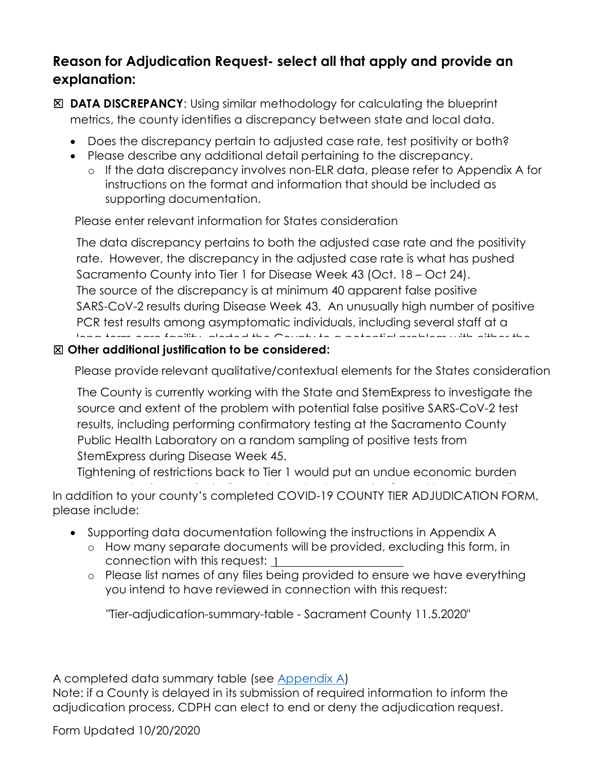### **Reason for Adjudication Request- select all that apply and provide an explanation:**

- ☐ **DATA DISCREPANCY**: Using similar methodology for calculating the blueprint metrics, the county identifies a discrepancy between state and local data.
	- Does the discrepancy pertain to adjusted case rate, test positivity or both?
	- Please describe any additional detail pertaining to the discrepancy.
		- o If the data discrepancy involves non-ELR data, please refer to Appendix A for instructions on the format and information that should be included as supporting documentation.

Please enter relevant information for States consideration

The data discrepancy pertains to both the adjusted case rate and the positivity rate. However, the discrepancy in the adjusted case rate is what has pushed Sacramento County into Tier 1 for Disease Week 43 (Oct. 18 – Oct 24). The source of the discrepancy is at minimum 40 apparent false positive SARS-CoV-2 results during Disease Week 43. An unusually high number of positive PCR test results among asymptomatic individuals, including several staff at a long-term care facility, alerted the County to a potential problem with either the

## $\boxtimes$  Other additional justification to be considered:

Please provide relevant qualitative/contextual elements for the States consideration

The County is currently working with the State and StemExpress to investigate the source and extent of the problem with potential false positive SARS-CoV-2 test results, including performing confirmatory testing at the Sacramento County Public Health Laboratory on a random sampling of positive tests from StemExpress during Disease Week 45.

Tightening of restrictions back to Tier 1 would put an undue economic burden indicative of recent infection. Specimens are only retained by the laboratory for  $\mathcal{C}$ 

In addition to your county's completed COVID-19 COUNTY TIER ADJUDICATION FORM, please include:  $T_{\text{S}}$  include:  $T_{\text{S}}$  $\frac{1}{2}$ calmentes yest econty o comptence. County if we contribute to conduct the County also<br>see include:

- Supporting data documentation following the instructions in Appendix A
	- o How many separate documents will be provided, excluding this form, in connection with this request:  $\underline{1}$
	- $\,\circ\,\,$  Please list names of any files being provided to ensure we have everything you intend to have reviewed in connection with this request: transmission. If the County is required to return to Tier 1, there is also a possibility that it would be easily more campus into the choice movement of any more computed movement. upon its return, resulting in further confusion for  $\alpha$  and  $\alpha$  our results. The confusion for our residents.

"Tier-adjudication-summary-table - Sacrament County 11.5.2020"

A completed data summary table (see <u>Appendix A</u>)

Note: if a County is delayed in its submission of required information to inform the adjudication process, CDPH can elect to end or deny the adjudication request.

Form Updated 10/20/2020 county deviate  $\frac{10}{2}$  is deviated  $\frac{10}{2}$  is 10.00 and 7.2, we be two believe there is and 7.2, we be a set of  $\frac{10}{2}$  is an  $\frac{10}{2}$  is an  $\frac{10}{2}$  is an  $\frac{10}{2}$  is an  $\frac{10}{2}$  is an  $\frac{10}{2}$  is an  $s_{\rm F}$  is the County to remain in Tier 2.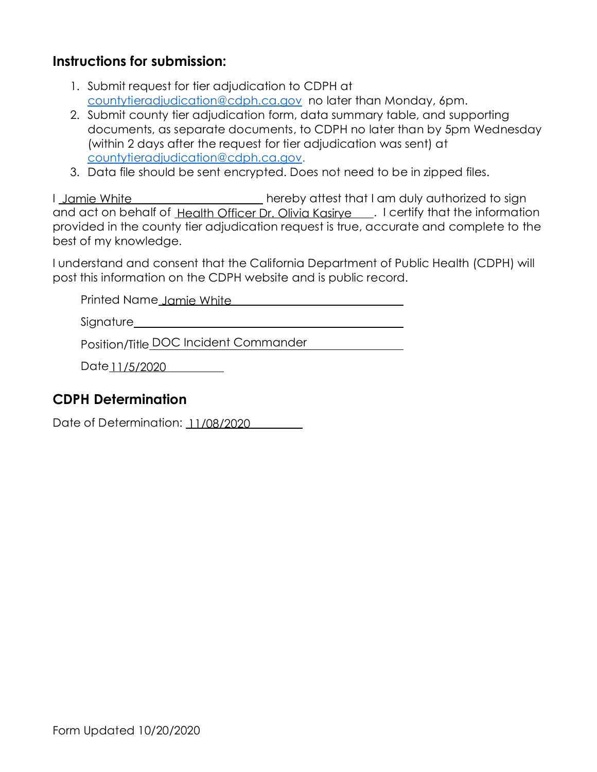#### **Instructions for submission:**

- 1. Submit request for tier adjudication to CDPH at [countytieradjudication@cdph.ca.gov](mailto:countytieradjudication@cdph.ca.gov) no later than Monday, 6pm.
- 2. Submit county tier adjudication form, data summary table, and supporting documents, as separate documents, to CDPH no later than by 5pm Wednesday (within 2 days after the request for tier adjudication was sent) at [countytieradjudication@cdph.ca.gov.](mailto:countytieradjudication@cdph.ca.gov)
- 3. Data file should be sent encrypted. Does not need to be in zipped files.

I hereby attest that I am duly authorized to sign and act on behalf of <u>Health Officer Dr. Olivia Kasirye \_\_\_</u>. I certify that the information provided in the county tier adjudication request is true, accurate and complete to the best of my knowledge. Jamie White

I understand and consent that the California Department of Public Health (CDPH) will post this information on the CDPH website and is public record.

Printed Name<u> Jamie White</u>

Signature

Date 11/5/2020

#### **CDPH Determination**

Position/Title DOC Incident Commander<br>Date <u>11/5/2020</u><br>**H Determination**<br>of Determination: <u>11/08/2020</u> Date of Determination: 11/08/2020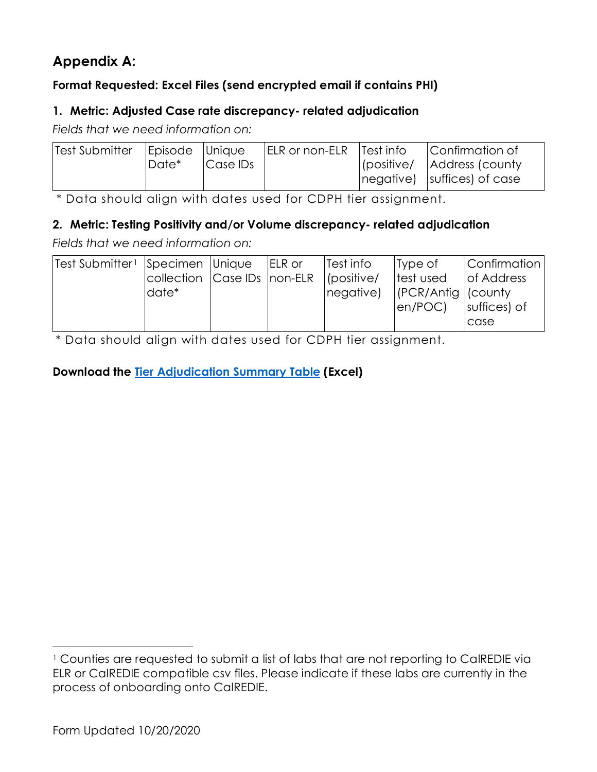## **[Appendix A:](#page-4-0)**

#### **Format Requested: Excel Files (send encrypted email if contains PHI)**

#### **1. Metric: Adjusted Case rate discrepancy- related adjudication**

*Fields that we need information on:*

| Test Submitter | Episode Unique |           | <b>IELR or non-ELR</b> | Test info  | Confirmation of                                   |
|----------------|----------------|-----------|------------------------|------------|---------------------------------------------------|
|                | ⊩Date*         | 'Case IDs |                        | (positive/ | Address (county<br>$ negative $ suffices) of case |

\* Data should align with dates used for CDPH tier assignment.

#### **2. Metric: Testing Positivity and/or Volume discrepancy- related adjudication**

*Fields that we need information on:*

| Test Submitter1 Specimen   Unique |                             | $ ELR$ or | Test info      | Type of                    | <i>Confirmation</i> |
|-----------------------------------|-----------------------------|-----------|----------------|----------------------------|---------------------|
|                                   | collection Case IDs non-ELR |           | $ $ (positive/ | test used                  | <b>of Address</b>   |
|                                   | date*                       |           | negative)      | $ $ (PCR/Antig $ $ (county |                     |
|                                   |                             |           |                | en/POC                     | suffices) of        |
|                                   |                             |           |                |                            | case                |

\* Data should align with dates used for CDPH tier assignment.

#### **Download the [Tier Adjudication Summary Table](https://www.cdph.ca.gov/Programs/CID/DCDC/CDPH%20Document%20Library/COVID-19/tier-adjudication-summary-table.xlsx) (Excel)**

<sup>&</sup>lt;sup>1</sup> Counties are requested to submit a list of labs that are not reporting to CalREDIE via ELR or CalREDIE compatible csv files. Please indicate if these labs are currently in the process of onboarding onto CalREDIE.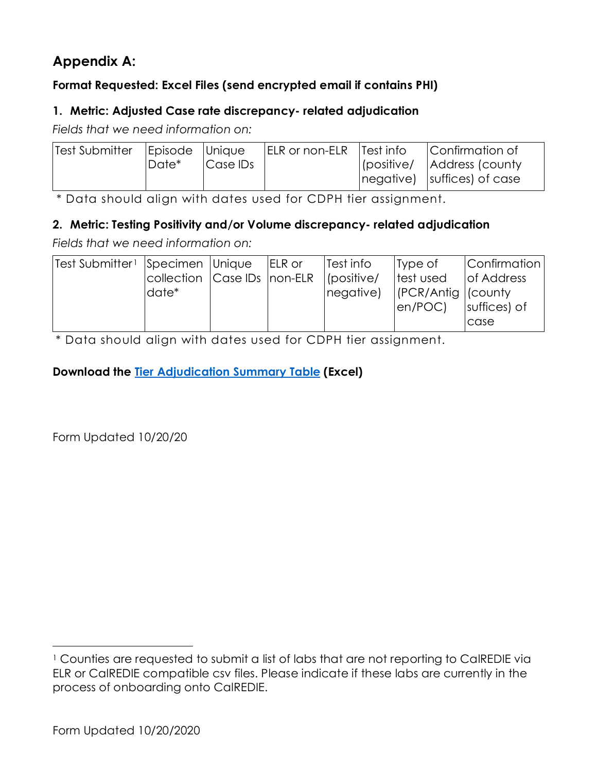## <span id="page-4-0"></span>**Appendix A:**

#### **Format Requested: Excel Files (send encrypted email if contains PHI)**

#### **1. Metric: Adjusted Case rate discrepancy- related adjudication**

*Fields that we need information on:*

| Test Submitter | Episode Unique |          | <b>IELR or non-ELR</b> | Test info  | Confirmation of                                   |
|----------------|----------------|----------|------------------------|------------|---------------------------------------------------|
|                | ⊩Date*         | Case IDs |                        | (positive/ | Address (county<br>$ negative $ suffices) of case |

\* Data should align with dates used for CDPH tier assignment.

#### **2. Metric: Testing Positivity and/or Volume discrepancy- related adjudication**

*Fields that we need information on:*

| Test Submitter1 Specimen   Unique |                             | $ ELR$ or | Test info      | Type of                    | <i>Confirmation</i> |
|-----------------------------------|-----------------------------|-----------|----------------|----------------------------|---------------------|
|                                   | collection Case IDs non-ELR |           | $ $ (positive/ | test used                  | <b>of Address</b>   |
|                                   | date*                       |           | negative)      | $ $ (PCR/Antig $ $ (county |                     |
|                                   |                             |           |                | en/POC                     | suffices) of        |
|                                   |                             |           |                |                            | case                |

\* Data should align with dates used for CDPH tier assignment.

#### **Download the Tier Adjudication Summary Table (Excel)**

Form Updated 10/20/20

<span id="page-4-1"></span><sup>&</sup>lt;sup>1</sup> Counties are requested to submit a list of labs that are not reporting to CalREDIE via ELR or CalREDIE compatible csv files. Please indicate if these labs are currently in the process of onboarding onto CalREDIE.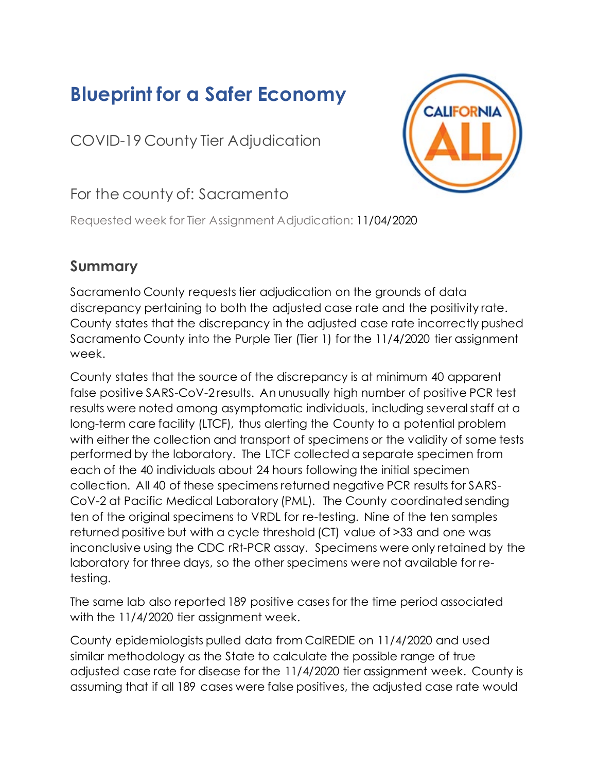# **Blueprint for a Safer Economy**

COVID-19 County Tier Adjudication



## For the county of: Sacramento

Requested week for Tier Assignment Adjudication: 11/04/2020

## **Summary**

Sacramento County requests tier adjudication on the grounds of data discrepancy pertaining to both the adjusted case rate and the positivity rate. County states that the discrepancy in the adjusted case rate incorrectly pushed Sacramento County into the Purple Tier (Tier 1) for the 11/4/2020 tier assignment week.

County states that the source of the discrepancy is at minimum 40 apparent false positive SARS-CoV-2 results. An unusually high number of positive PCR test results were noted among asymptomatic individuals, including several staff at a long-term care facility (LTCF), thus alerting the County to a potential problem with either the collection and transport of specimens or the validity of some tests performed by the laboratory. The LTCF collected a separate specimen from each of the 40 individuals about 24 hours following the initial specimen collection. All 40 of these specimens returned negative PCR results for SARS-CoV-2 at Pacific Medical Laboratory (PML). The County coordinated sending ten of the original specimens to VRDL for re-testing. Nine of the ten samples returned positive but with a cycle threshold (CT) value of >33 and one was inconclusive using the CDC rRt-PCR assay. Specimens were only retained by the laboratory for three days, so the other specimens were not available for retesting.

The same lab also reported 189 positive cases for the time period associated with the 11/4/2020 tier assignment week.

County epidemiologists pulled data from CalREDIE on 11/4/2020 and used similar methodology as the State to calculate the possible range of true adjusted case rate for disease for the 11/4/2020 tier assignment week. County is assuming that if all 189 cases were false positives, the adjusted case rate would